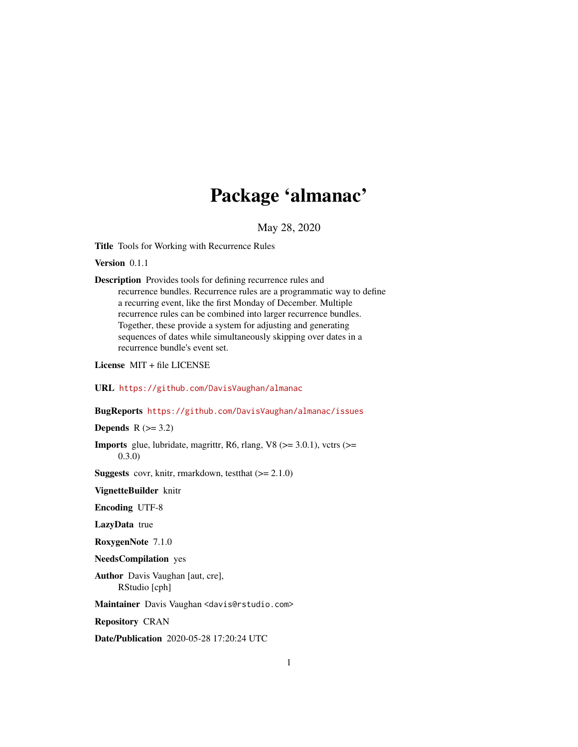# Package 'almanac'

May 28, 2020

<span id="page-0-0"></span>Title Tools for Working with Recurrence Rules

Version 0.1.1

Description Provides tools for defining recurrence rules and recurrence bundles. Recurrence rules are a programmatic way to define a recurring event, like the first Monday of December. Multiple recurrence rules can be combined into larger recurrence bundles. Together, these provide a system for adjusting and generating sequences of dates while simultaneously skipping over dates in a recurrence bundle's event set.

License MIT + file LICENSE

URL <https://github.com/DavisVaughan/almanac>

BugReports <https://github.com/DavisVaughan/almanac/issues>

Depends  $R$  ( $>= 3.2$ )

**Imports** glue, lubridate, magrittr, R6, rlang, V8 ( $>=$  3.0.1), vctrs ( $>=$ 0.3.0)

**Suggests** covr, knitr, rmarkdown, test that  $(>= 2.1.0)$ 

VignetteBuilder knitr

Encoding UTF-8

LazyData true

RoxygenNote 7.1.0

NeedsCompilation yes

Author Davis Vaughan [aut, cre], RStudio [cph]

Maintainer Davis Vaughan <davis@rstudio.com>

Repository CRAN

Date/Publication 2020-05-28 17:20:24 UTC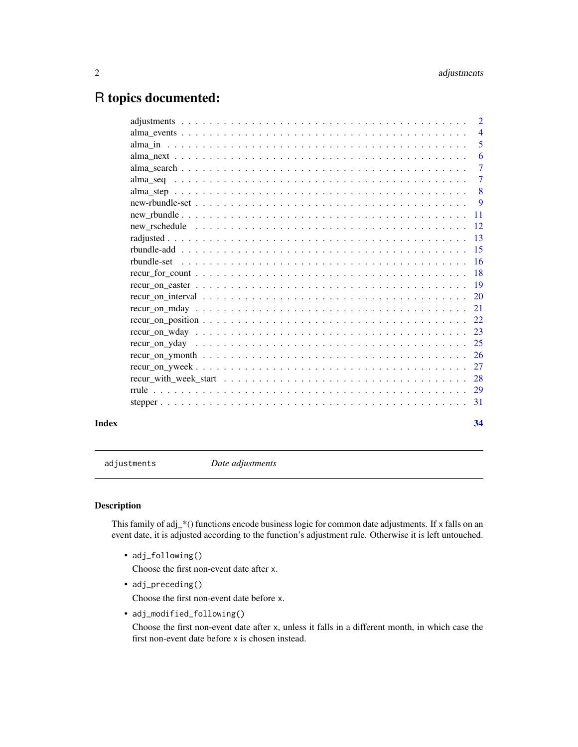# <span id="page-1-0"></span>R topics documented:

|       | $\overline{2}$ |
|-------|----------------|
|       | $\overline{4}$ |
|       | 5              |
|       | - 6            |
|       | $\overline{7}$ |
|       |                |
|       | 8              |
|       |                |
|       |                |
|       |                |
|       |                |
|       |                |
|       |                |
|       |                |
|       |                |
|       |                |
|       |                |
|       |                |
|       |                |
|       |                |
|       |                |
|       |                |
|       |                |
|       |                |
|       |                |
| Index | 34             |

adjustments *Date adjustments*

# <span id="page-1-1"></span>Description

This family of adj\_\*() functions encode business logic for common date adjustments. If x falls on an event date, it is adjusted according to the function's adjustment rule. Otherwise it is left untouched.

• adj\_following()

Choose the first non-event date after x.

• adj\_preceding()

Choose the first non-event date before x.

• adj\_modified\_following()

Choose the first non-event date after x, unless it falls in a different month, in which case the first non-event date before x is chosen instead.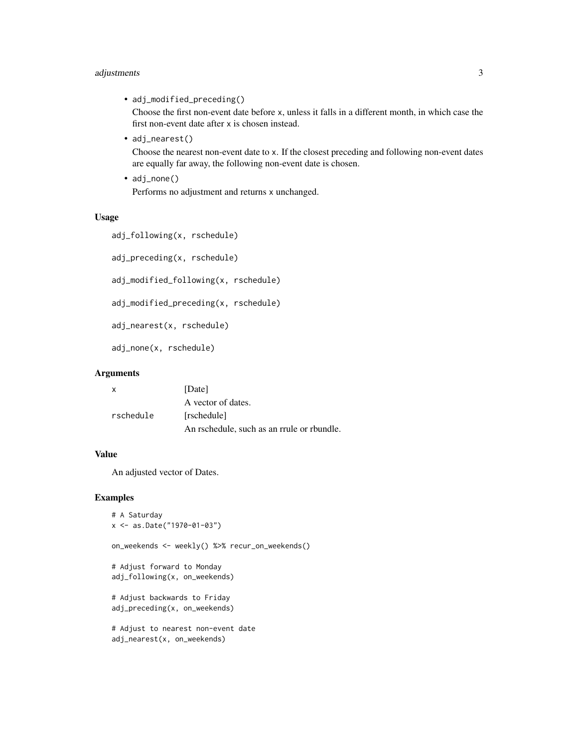# adjustments 3

• adj\_modified\_preceding()

Choose the first non-event date before x, unless it falls in a different month, in which case the first non-event date after x is chosen instead.

• adj\_nearest()

Choose the nearest non-event date to x. If the closest preceding and following non-event dates are equally far away, the following non-event date is chosen.

• adj\_none() Performs no adjustment and returns x unchanged.

# Usage

```
adj_following(x, rschedule)
adj_preceding(x, rschedule)
adj_modified_following(x, rschedule)
adj_modified_preceding(x, rschedule)
adj_nearest(x, rschedule)
adj_none(x, rschedule)
```
# Arguments

| $\mathbf{x}$ | [Date]                                     |
|--------------|--------------------------------------------|
|              | A vector of dates.                         |
| rschedule    | [rschedule]                                |
|              | An rschedule, such as an rrule or rbundle. |

# Value

An adjusted vector of Dates.

```
# A Saturday
x <- as.Date("1970-01-03")
on_weekends <- weekly() %>% recur_on_weekends()
# Adjust forward to Monday
adj_following(x, on_weekends)
# Adjust backwards to Friday
adj_preceding(x, on_weekends)
# Adjust to nearest non-event date
adj_nearest(x, on_weekends)
```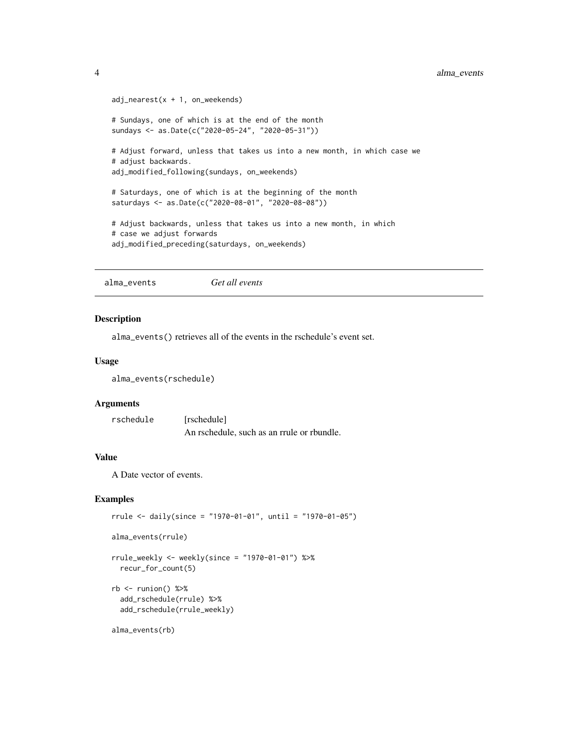```
adj\_nearest(x + 1, on\_weekends)# Sundays, one of which is at the end of the month
sundays <- as.Date(c("2020-05-24", "2020-05-31"))
# Adjust forward, unless that takes us into a new month, in which case we
# adjust backwards.
adj_modified_following(sundays, on_weekends)
# Saturdays, one of which is at the beginning of the month
saturdays <- as.Date(c("2020-08-01", "2020-08-08"))
# Adjust backwards, unless that takes us into a new month, in which
# case we adjust forwards
adj_modified_preceding(saturdays, on_weekends)
```
alma\_events *Get all events*

#### Description

alma\_events() retrieves all of the events in the rschedule's event set.

#### Usage

alma\_events(rschedule)

#### Arguments

rschedule [rschedule] An rschedule, such as an rrule or rbundle.

# Value

A Date vector of events.

```
rrule <- daily(since = "1970-01-01", until = "1970-01-05")
```

```
alma_events(rrule)
```

```
rrule_weekly <- weekly(since = "1970-01-01") %>%
 recur_for_count(5)
```

```
rb \leq runion() %>%
 add_rschedule(rrule) %>%
 add_rschedule(rrule_weekly)
```

```
alma_events(rb)
```
<span id="page-3-0"></span>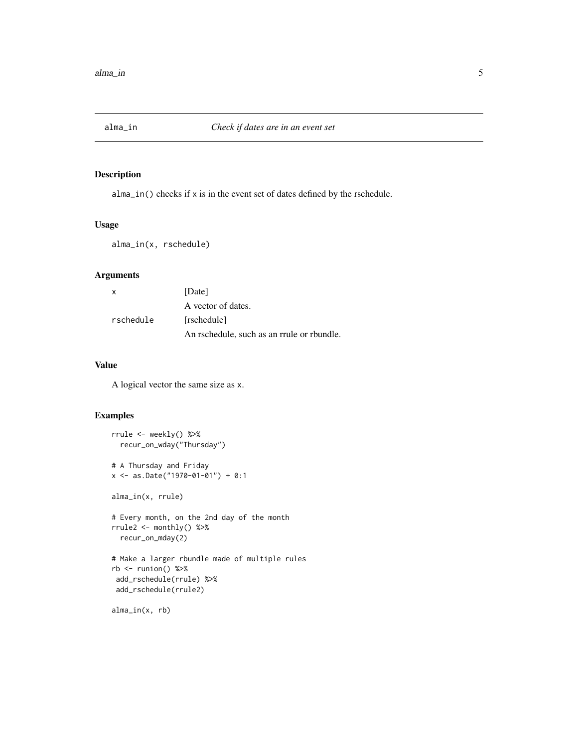<span id="page-4-1"></span><span id="page-4-0"></span>

alma\_in() checks if x is in the event set of dates defined by the rschedule.

# Usage

alma\_in(x, rschedule)

# Arguments

| x         | [Date]                                     |
|-----------|--------------------------------------------|
|           | A vector of dates.                         |
| rschedule | [rschedule]                                |
|           | An rschedule, such as an rrule or rbundle. |

# Value

A logical vector the same size as x.

# Examples

```
rrule <- weekly() %>%
  recur_on_wday("Thursday")
# A Thursday and Friday
x <- as.Date("1970-01-01") + 0:1
alma_in(x, rrule)
# Every month, on the 2nd day of the month
rrule2 <- monthly() %>%
  recur_on_mday(2)
# Make a larger rbundle made of multiple rules
rb \leftarrow runion() %> %add_rschedule(rrule) %>%
 add_rschedule(rrule2)
```
alma\_in(x, rb)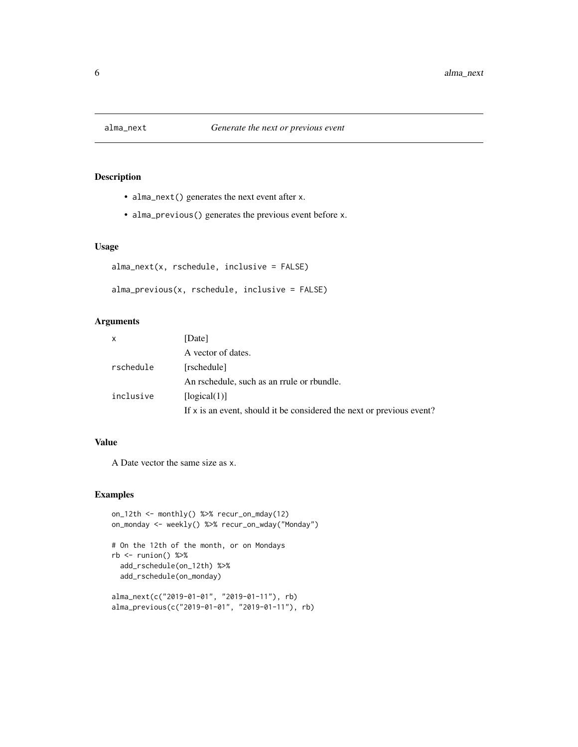<span id="page-5-0"></span>

- alma\_next() generates the next event after x.
- alma\_previous() generates the previous event before x.

# Usage

```
alma_next(x, rschedule, inclusive = FALSE)
```

```
alma_previous(x, rschedule, inclusive = FALSE)
```
# Arguments

| $\mathsf{x}$ | [Date]                                                                |
|--------------|-----------------------------------------------------------------------|
|              | A vector of dates.                                                    |
| rschedule    | [rschedule]                                                           |
|              | An rschedule, such as an rrule or rbundle.                            |
| inclusive    | [logical(1)]                                                          |
|              | If x is an event, should it be considered the next or previous event? |

# Value

A Date vector the same size as x.

```
on_12th <- monthly() %>% recur_on_mday(12)
on_monday <- weekly() %>% recur_on_wday("Monday")
# On the 12th of the month, or on Mondays
rb \leq runion() %>%
  add_rschedule(on_12th) %>%
  add_rschedule(on_monday)
alma_next(c("2019-01-01", "2019-01-11"), rb)
alma_previous(c("2019-01-01", "2019-01-11"), rb)
```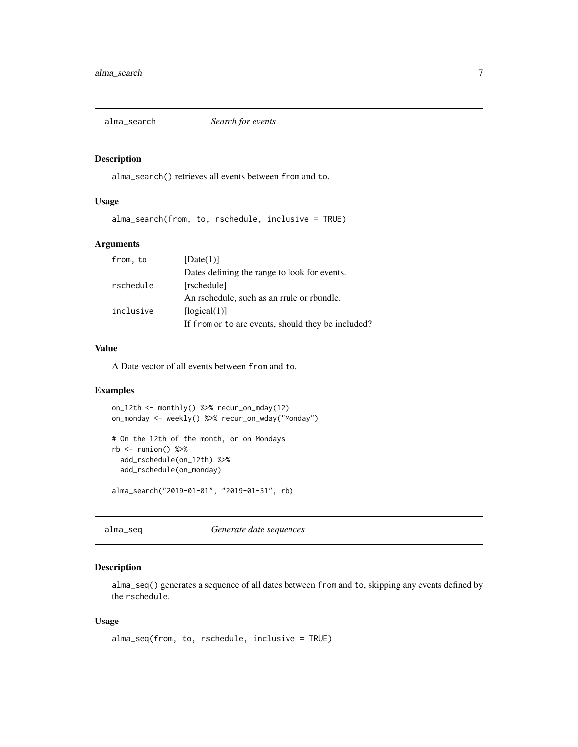<span id="page-6-0"></span>

alma\_search() retrieves all events between from and to.

# Usage

alma\_search(from, to, rschedule, inclusive = TRUE)

# Arguments

| from, to  | [Date(1)]                                          |
|-----------|----------------------------------------------------|
|           | Dates defining the range to look for events.       |
| rschedule | [rschedule]                                        |
|           | An rschedule, such as an rrule or rbundle.         |
| inclusive | [logical(1)]                                       |
|           | If from or to are events, should they be included? |

# Value

A Date vector of all events between from and to.

#### Examples

```
on_12th <- monthly() %>% recur_on_mday(12)
on_monday <- weekly() %>% recur_on_wday("Monday")
# On the 12th of the month, or on Mondays
rb \leq runion() %>%
 add_rschedule(on_12th) %>%
  add_rschedule(on_monday)
alma_search("2019-01-01", "2019-01-31", rb)
```
alma\_seq *Generate date sequences*

# Description

alma\_seq() generates a sequence of all dates between from and to, skipping any events defined by the rschedule.

#### Usage

```
alma_seq(from, to, rschedule, inclusive = TRUE)
```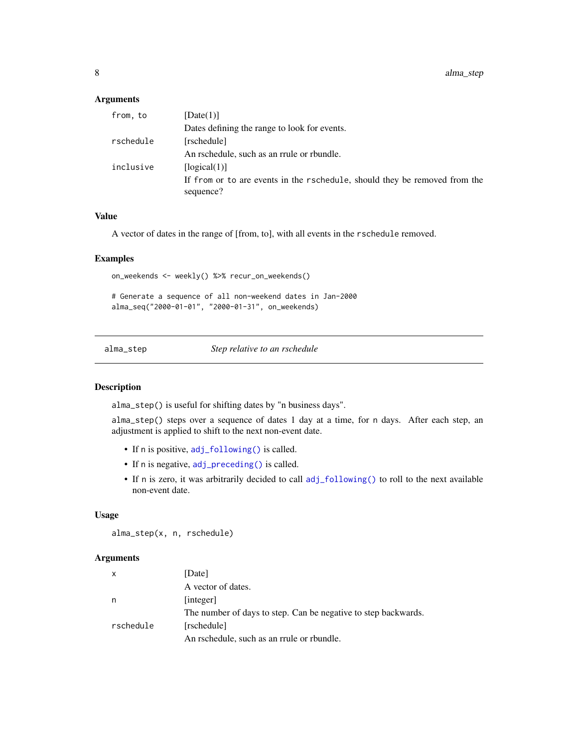# <span id="page-7-0"></span>Arguments

| [Date(1)]                                                                               |
|-----------------------------------------------------------------------------------------|
| Dates defining the range to look for events.                                            |
| [rschedule]                                                                             |
| An rschedule, such as an rrule or rbundle.                                              |
| [logical(1)]                                                                            |
| If from or to are events in the rschedule, should they be removed from the<br>sequence? |
|                                                                                         |

#### Value

A vector of dates in the range of [from, to], with all events in the rschedule removed.

# Examples

on\_weekends <- weekly() %>% recur\_on\_weekends()

# Generate a sequence of all non-weekend dates in Jan-2000 alma\_seq("2000-01-01", "2000-01-31", on\_weekends)

<span id="page-7-1"></span>alma\_step *Step relative to an rschedule*

# Description

alma\_step() is useful for shifting dates by "n business days".

alma\_step() steps over a sequence of dates 1 day at a time, for n days. After each step, an adjustment is applied to shift to the next non-event date.

- If n is positive, [adj\\_following\(\)](#page-1-1) is called.
- If n is negative, [adj\\_preceding\(\)](#page-1-1) is called.
- If n is zero, it was arbitrarily decided to call [adj\\_following\(\)](#page-1-1) to roll to the next available non-event date.

#### Usage

alma\_step(x, n, rschedule)

#### Arguments

| X         | [Date]                                                         |
|-----------|----------------------------------------------------------------|
|           | A vector of dates.                                             |
| n         | [integer]                                                      |
|           | The number of days to step. Can be negative to step backwards. |
| rschedule | [rschedule]                                                    |
|           | An rschedule, such as an rrule or rbundle.                     |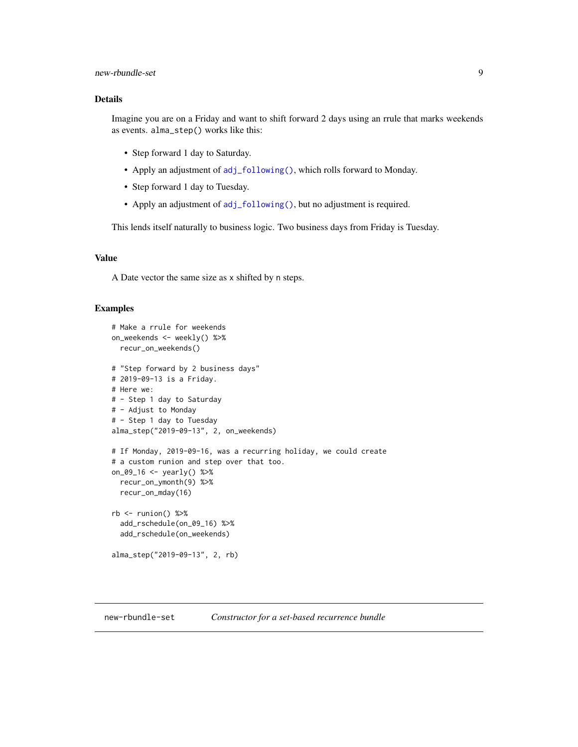# <span id="page-8-0"></span>new-rbundle-set 9

# Details

Imagine you are on a Friday and want to shift forward 2 days using an rrule that marks weekends as events. alma\_step() works like this:

- Step forward 1 day to Saturday.
- Apply an adjustment of [adj\\_following\(\)](#page-1-1), which rolls forward to Monday.
- Step forward 1 day to Tuesday.
- Apply an adjustment of [adj\\_following\(\)](#page-1-1), but no adjustment is required.

This lends itself naturally to business logic. Two business days from Friday is Tuesday.

#### Value

A Date vector the same size as x shifted by n steps.

#### Examples

```
# Make a rrule for weekends
on_weekends <- weekly() %>%
 recur_on_weekends()
# "Step forward by 2 business days"
# 2019-09-13 is a Friday.
# Here we:
# - Step 1 day to Saturday
# - Adjust to Monday
# - Step 1 day to Tuesday
alma_step("2019-09-13", 2, on_weekends)
# If Monday, 2019-09-16, was a recurring holiday, we could create
# a custom runion and step over that too.
on_09_16 <- yearly() %>%
 recur_on_ymonth(9) %>%
 recur_on_mday(16)
rb \leq runion() %>%
 add_rschedule(on_09_16) %>%
 add_rschedule(on_weekends)
alma_step("2019-09-13", 2, rb)
```
#### new-rbundle-set *Constructor for a set-based recurrence bundle*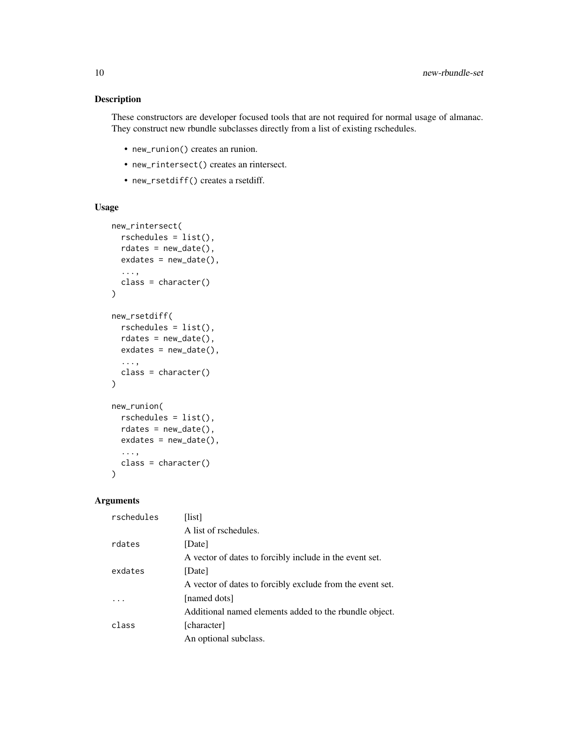These constructors are developer focused tools that are not required for normal usage of almanac. They construct new rbundle subclasses directly from a list of existing rschedules.

- new\_runion() creates an runion.
- new\_rintersect() creates an rintersect.
- new\_rsetdiff() creates a rsetdiff.

# Usage

```
new_rintersect(
  rschedules = list(),
  rdates = new_data(),
 exdates = new_date(),
  ...,
 class = character()
\lambdanew_rsetdiff(
 rschedules = list(),
 rdates = new_data(),
 exdates = new_data(),
  ...,
  class = character()
)
new_runion(
 rschedules = list(),
  rdates = new_data(),
 exdates = new_data(),
  ...,
 class = character()
)
```
#### Arguments

| rschedules | [list]                                                    |
|------------|-----------------------------------------------------------|
|            | A list of rschedules.                                     |
| rdates     | [Date]                                                    |
|            | A vector of dates to forcibly include in the event set.   |
| exdates    | [Date]                                                    |
|            | A vector of dates to forcibly exclude from the event set. |
|            | [named dots]                                              |
|            | Additional named elements added to the rbundle object.    |
| class      | [character]                                               |
|            | An optional subclass.                                     |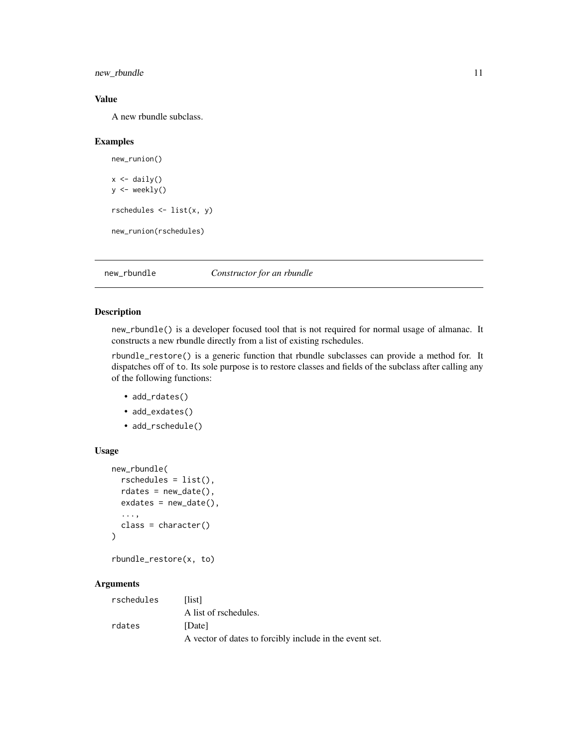<span id="page-10-0"></span>new\_rbundle 11

# Value

A new rbundle subclass.

#### Examples

```
new_runion()
x \leftarrow \text{daily}()y <- weekly()
rschedules <- list(x, y)
new_runion(rschedules)
```
new\_rbundle *Constructor for an rbundle*

# Description

new\_rbundle() is a developer focused tool that is not required for normal usage of almanac. It constructs a new rbundle directly from a list of existing rschedules.

rbundle\_restore() is a generic function that rbundle subclasses can provide a method for. It dispatches off of to. Its sole purpose is to restore classes and fields of the subclass after calling any of the following functions:

- add\_rdates()
- add\_exdates()
- add\_rschedule()

# Usage

```
new_rbundle(
  rschedules = list(),
  rdates = new_date(),
  exdates = new_data(),
  ...,
  class = character()
\mathcal{L}
```
rbundle\_restore(x, to)

# Arguments

| rschedules | <b>Histl</b>                                            |
|------------|---------------------------------------------------------|
|            | A list of rschedules.                                   |
| rdates     | [Date]                                                  |
|            | A vector of dates to forcibly include in the event set. |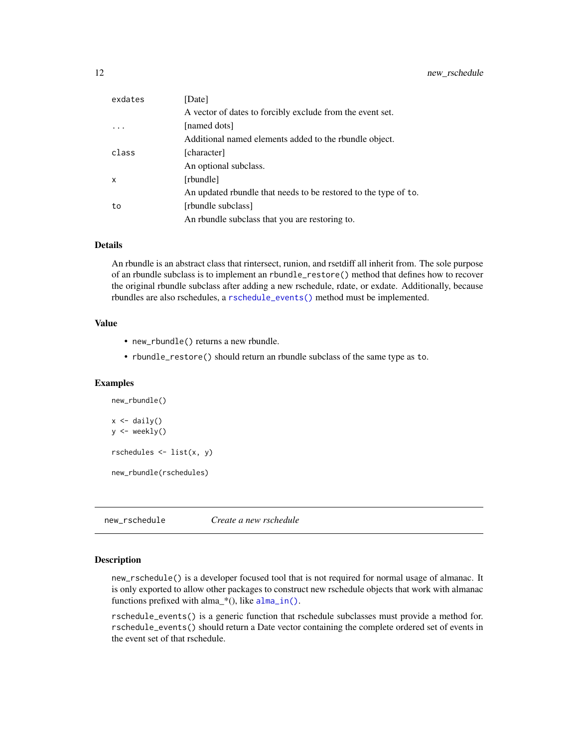<span id="page-11-0"></span>

| exdates | [Date]                                                          |
|---------|-----------------------------------------------------------------|
|         | A vector of dates to forcibly exclude from the event set.       |
|         | [named dots]                                                    |
|         | Additional named elements added to the rbundle object.          |
| class   | [character]                                                     |
|         | An optional subclass.                                           |
| X       | [rbundle]                                                       |
|         | An updated roundle that needs to be restored to the type of to. |
| to      | [rbundle subclass]                                              |
|         | An roundle subclass that you are restoring to.                  |

# Details

An rbundle is an abstract class that rintersect, runion, and rsetdiff all inherit from. The sole purpose of an rbundle subclass is to implement an rbundle\_restore() method that defines how to recover the original rbundle subclass after adding a new rschedule, rdate, or exdate. Additionally, because rbundles are also rschedules, a [rschedule\\_events\(\)](#page-11-1) method must be implemented.

# Value

- new\_rbundle() returns a new rbundle.
- rbundle\_restore() should return an rbundle subclass of the same type as to.

# Examples

```
new_rbundle()
x \leftarrow \text{daily}()y <- weekly()
rschedules \leq list(x, y)
new_rbundle(rschedules)
```
new\_rschedule *Create a new rschedule*

# <span id="page-11-1"></span>Description

new\_rschedule() is a developer focused tool that is not required for normal usage of almanac. It is only exported to allow other packages to construct new rschedule objects that work with almanac functions prefixed with alma\_\*(), like [alma\\_in\(\)](#page-4-1).

rschedule\_events() is a generic function that rschedule subclasses must provide a method for. rschedule\_events() should return a Date vector containing the complete ordered set of events in the event set of that rschedule.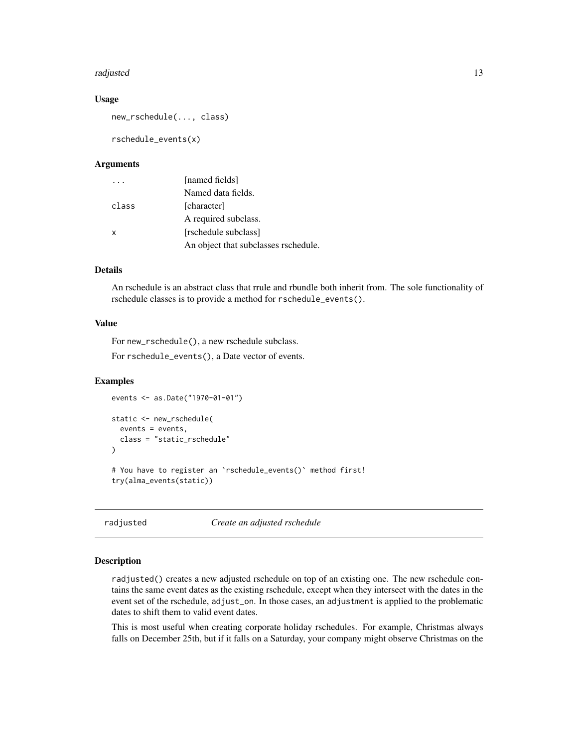#### <span id="page-12-0"></span>radjusted the contract of the contract of the contract of the contract of the contract of the contract of the contract of the contract of the contract of the contract of the contract of the contract of the contract of the

#### Usage

new\_rschedule(..., class)

rschedule\_events(x)

# Arguments

|       | [named fields]                       |
|-------|--------------------------------------|
|       | Named data fields.                   |
| class | [character]                          |
|       | A required subclass.                 |
| x     | [rschedule subclass]                 |
|       | An object that subclasses rschedule. |

# Details

An rschedule is an abstract class that rrule and rbundle both inherit from. The sole functionality of rschedule classes is to provide a method for rschedule\_events().

#### Value

For new\_rschedule(), a new rschedule subclass.

For rschedule\_events(), a Date vector of events.

#### Examples

```
events <- as.Date("1970-01-01")
static <- new_rschedule(
 events = events,
 class = "static_rschedule"
\mathcal{L}# You have to register an `rschedule_events()` method first!
try(alma_events(static))
```
radjusted *Create an adjusted rschedule*

# Description

radjusted() creates a new adjusted rschedule on top of an existing one. The new rschedule contains the same event dates as the existing rschedule, except when they intersect with the dates in the event set of the rschedule, adjust\_on. In those cases, an adjustment is applied to the problematic dates to shift them to valid event dates.

This is most useful when creating corporate holiday rschedules. For example, Christmas always falls on December 25th, but if it falls on a Saturday, your company might observe Christmas on the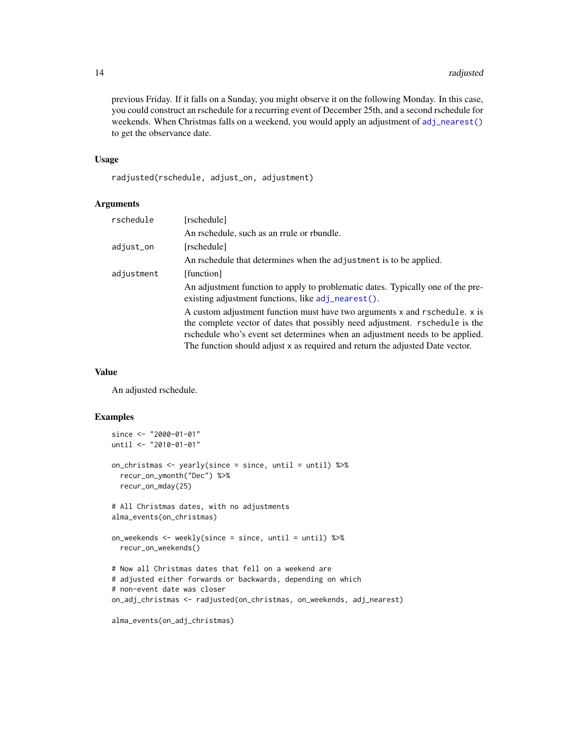<span id="page-13-0"></span>previous Friday. If it falls on a Sunday, you might observe it on the following Monday. In this case, you could construct an rschedule for a recurring event of December 25th, and a second rschedule for weekends. When Christmas falls on a weekend, you would apply an adjustment of [adj\\_nearest\(\)](#page-1-1) to get the observance date.

#### Usage

radjusted(rschedule, adjust\_on, adjustment)

#### Arguments

| rschedule  | [rschedule]                                                                                                                                                                                                                                                                                                                 |
|------------|-----------------------------------------------------------------------------------------------------------------------------------------------------------------------------------------------------------------------------------------------------------------------------------------------------------------------------|
|            | An rschedule, such as an rrule or rbundle.                                                                                                                                                                                                                                                                                  |
| adjust_on  | [rschedule]                                                                                                                                                                                                                                                                                                                 |
|            | An rschedule that determines when the adjustment is to be applied.                                                                                                                                                                                                                                                          |
| adjustment | [function]                                                                                                                                                                                                                                                                                                                  |
|            | An adjustment function to apply to problematic dates. Typically one of the pre-<br>existing adjustment functions, like adj_nearest().                                                                                                                                                                                       |
|            | A custom adjustment function must have two arguments x and rschedule. x is<br>the complete vector of dates that possibly need adjustment. rschedule is the<br>rschedule who's event set determines when an adjustment needs to be applied.<br>The function should adjust x as required and return the adjusted Date vector. |

#### Value

An adjusted rschedule.

```
since <- "2000-01-01"
until <- "2010-01-01"
on_christmas <- yearly(since = since, until = until) %>%
  recur_on_ymonth("Dec") %>%
  recur_on_mday(25)
# All Christmas dates, with no adjustments
alma_events(on_christmas)
on_weekends <- weekly(since = since, until = until) %>%
  recur_on_weekends()
# Now all Christmas dates that fell on a weekend are
# adjusted either forwards or backwards, depending on which
# non-event date was closer
on_adj_christmas <- radjusted(on_christmas, on_weekends, adj_nearest)
alma_events(on_adj_christmas)
```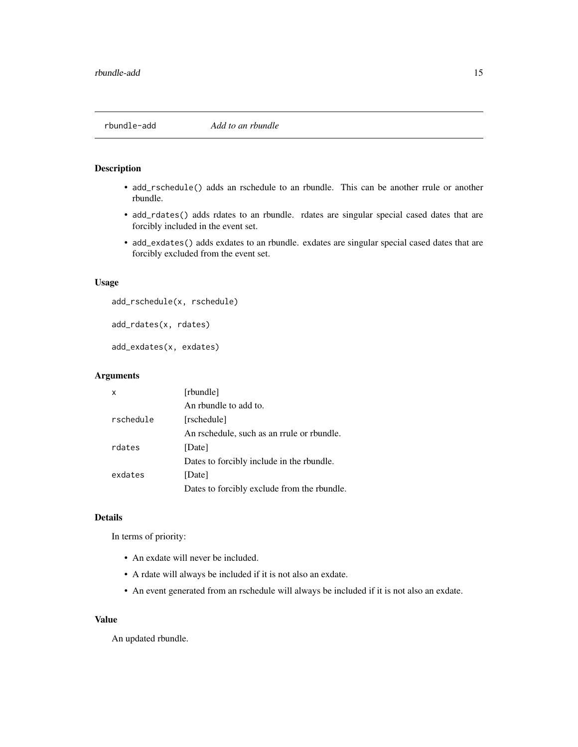<span id="page-14-1"></span><span id="page-14-0"></span>

- add\_rschedule() adds an rschedule to an rbundle. This can be another rrule or another rbundle.
- add\_rdates() adds rdates to an rbundle. rdates are singular special cased dates that are forcibly included in the event set.
- add\_exdates() adds exdates to an rbundle. exdates are singular special cased dates that are forcibly excluded from the event set.

# Usage

```
add_rschedule(x, rschedule)
```

```
add_rdates(x, rdates)
```
add\_exdates(x, exdates)

# Arguments

| x         | [rbundle]                                   |
|-----------|---------------------------------------------|
|           | An rhundle to add to.                       |
| rschedule | [rschedule]                                 |
|           | An rschedule, such as an rrule or rbundle.  |
| rdates    | [Date]                                      |
|           | Dates to forcibly include in the rbundle.   |
| exdates   | [Date]                                      |
|           | Dates to forcibly exclude from the rbundle. |

#### Details

In terms of priority:

- An exdate will never be included.
- A rdate will always be included if it is not also an exdate.
- An event generated from an rschedule will always be included if it is not also an exdate.

#### Value

An updated rbundle.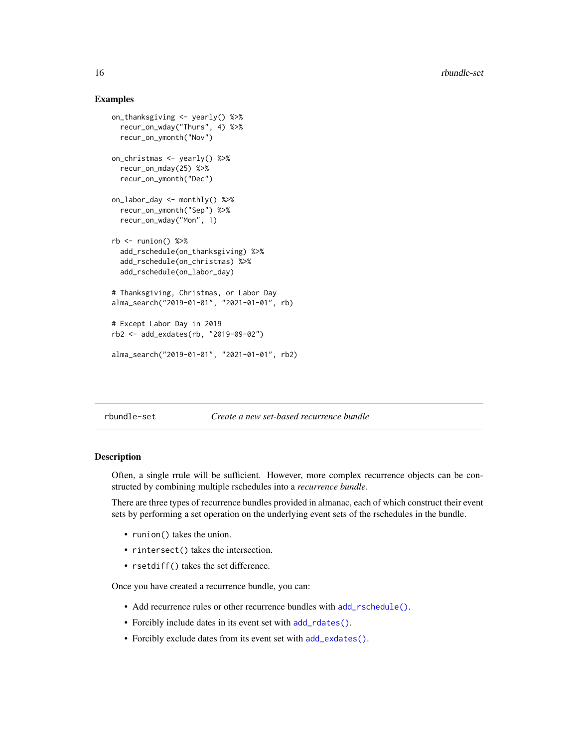# Examples

```
on_thanksgiving <- yearly() %>%
 recur_on_wday("Thurs", 4) %>%
 recur_on_ymonth("Nov")
on_christmas <- yearly() %>%
 recur_on_mday(25) %>%
 recur_on_ymonth("Dec")
on_labor_day <- monthly() %>%
 recur_on_ymonth("Sep") %>%
 recur_on_wday("Mon", 1)
rb \leq -\text{runion}() %>%
 add_rschedule(on_thanksgiving) %>%
 add_rschedule(on_christmas) %>%
 add_rschedule(on_labor_day)
# Thanksgiving, Christmas, or Labor Day
alma_search("2019-01-01", "2021-01-01", rb)
# Except Labor Day in 2019
rb2 <- add_exdates(rb, "2019-09-02")
alma_search("2019-01-01", "2021-01-01", rb2)
```
rbundle-set *Create a new set-based recurrence bundle*

# Description

Often, a single rrule will be sufficient. However, more complex recurrence objects can be constructed by combining multiple rschedules into a *recurrence bundle*.

There are three types of recurrence bundles provided in almanac, each of which construct their event sets by performing a set operation on the underlying event sets of the rschedules in the bundle.

- runion() takes the union.
- rintersect() takes the intersection.
- rsetdiff() takes the set difference.

Once you have created a recurrence bundle, you can:

- Add recurrence rules or other recurrence bundles with [add\\_rschedule\(\)](#page-14-1).
- Forcibly include dates in its event set with [add\\_rdates\(\)](#page-14-1).
- Forcibly exclude dates from its event set with [add\\_exdates\(\)](#page-14-1).

<span id="page-15-0"></span>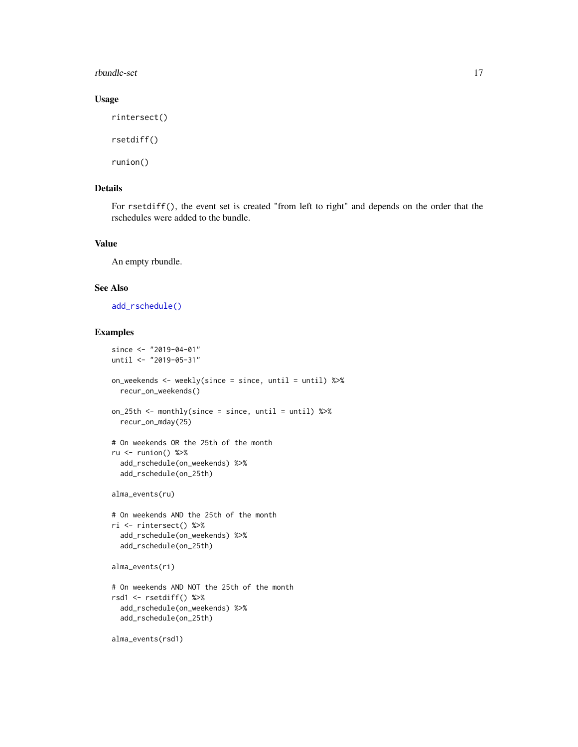#### <span id="page-16-0"></span>rbundle-set 17

# Usage

rintersect()

rsetdiff()

runion()

# Details

For rsetdiff(), the event set is created "from left to right" and depends on the order that the rschedules were added to the bundle.

# Value

An empty rbundle.

# See Also

[add\\_rschedule\(\)](#page-14-1)

```
since <- "2019-04-01"
until <- "2019-05-31"
on_weekends <- weekly(since = since, until = until) %>%
  recur_on_weekends()
on_25th <- monthly(since = since, until = until) %>%
  recur_on_mday(25)
# On weekends OR the 25th of the month
ru \le- runion() %>%
  add_rschedule(on_weekends) %>%
  add_rschedule(on_25th)
alma_events(ru)
# On weekends AND the 25th of the month
ri <- rintersect() %>%
  add_rschedule(on_weekends) %>%
  add_rschedule(on_25th)
alma_events(ri)
# On weekends AND NOT the 25th of the month
rsd1 <- rsetdiff() %>%
  add_rschedule(on_weekends) %>%
  add_rschedule(on_25th)
alma_events(rsd1)
```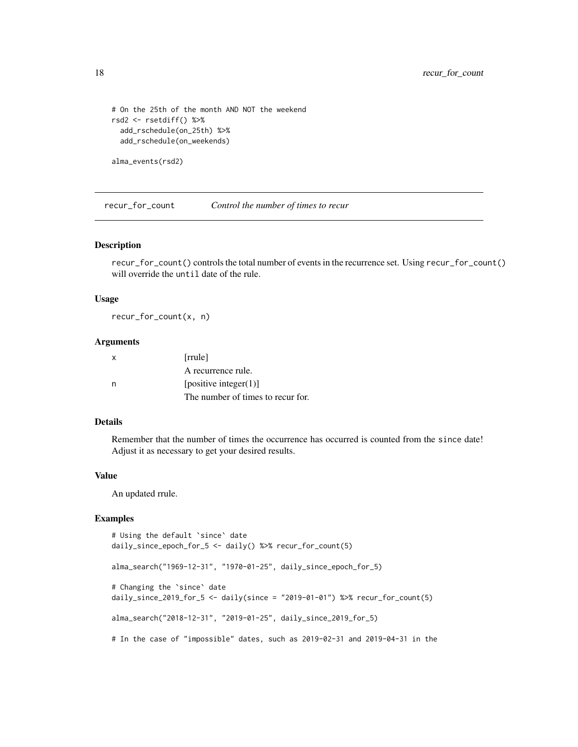```
# On the 25th of the month AND NOT the weekend
rsd2 <- rsetdiff() %>%
  add_rschedule(on_25th) %>%
  add_rschedule(on_weekends)
```

```
alma_events(rsd2)
```
recur\_for\_count *Control the number of times to recur*

#### Description

recur\_for\_count() controls the total number of events in the recurrence set. Using recur\_for\_count() will override the until date of the rule.

#### Usage

recur\_for\_count(x, n)

# Arguments

| X | [rrule]                           |
|---|-----------------------------------|
|   | A recurrence rule.                |
| n | [positive integer $(1)$ ]         |
|   | The number of times to recur for. |

# Details

Remember that the number of times the occurrence has occurred is counted from the since date! Adjust it as necessary to get your desired results.

#### Value

An updated rrule.

```
# Using the default `since` date
daily_since_epoch_for_5 <- daily() %>% recur_for_count(5)
alma_search("1969-12-31", "1970-01-25", daily_since_epoch_for_5)
# Changing the `since` date
daily_since_2019_for_5 <- daily(since = "2019-01-01") %>% recur_for_count(5)
alma_search("2018-12-31", "2019-01-25", daily_since_2019_for_5)
# In the case of "impossible" dates, such as 2019-02-31 and 2019-04-31 in the
```
<span id="page-17-0"></span>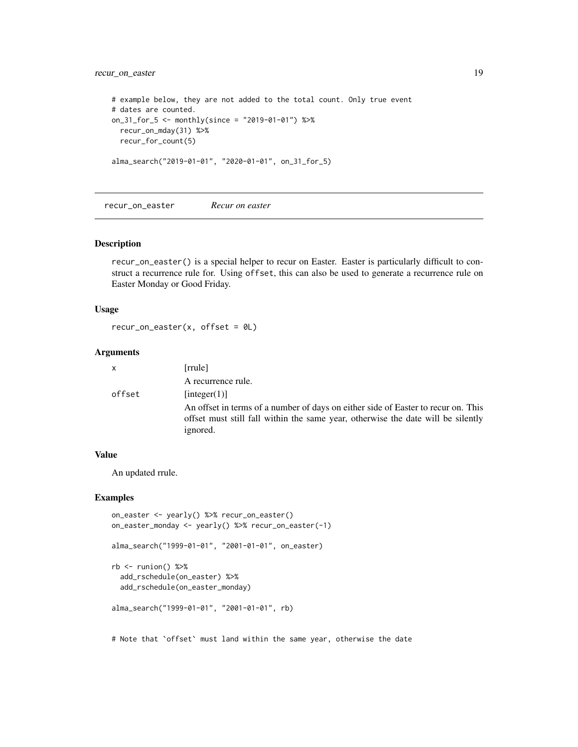# <span id="page-18-0"></span>recur\_on\_easter 19

```
# example below, they are not added to the total count. Only true event
# dates are counted.
on_31_for_5 <- monthly(since = "2019-01-01") %>%
 recur_on_mday(31) %>%
 recur_for_count(5)
alma_search("2019-01-01", "2020-01-01", on_31_for_5)
```
recur\_on\_easter *Recur on easter*

# Description

recur\_on\_easter() is a special helper to recur on Easter. Easter is particularly difficult to construct a recurrence rule for. Using offset, this can also be used to generate a recurrence rule on Easter Monday or Good Friday.

#### Usage

```
recur\_on\_easter(x, offset = <math>0L</math>)
```
### Arguments

| $\mathsf{x}$ | [rrule]                                                                                                                                                                           |
|--------------|-----------------------------------------------------------------------------------------------------------------------------------------------------------------------------------|
|              | A recurrence rule.                                                                                                                                                                |
| offset       | [integer(1)]                                                                                                                                                                      |
|              | An offset in terms of a number of days on either side of Easter to recur on. This<br>offset must still fall within the same year, otherwise the date will be silently<br>ignored. |

#### Value

An updated rrule.

# Examples

```
on_easter <- yearly() %>% recur_on_easter()
on_easter_monday <- yearly() %>% recur_on_easter(-1)
alma_search("1999-01-01", "2001-01-01", on_easter)
```

```
rb \leftarrow runion() %> %add_rschedule(on_easter) %>%
  add_rschedule(on_easter_monday)
```

```
alma_search("1999-01-01", "2001-01-01", rb)
```
# Note that `offset` must land within the same year, otherwise the date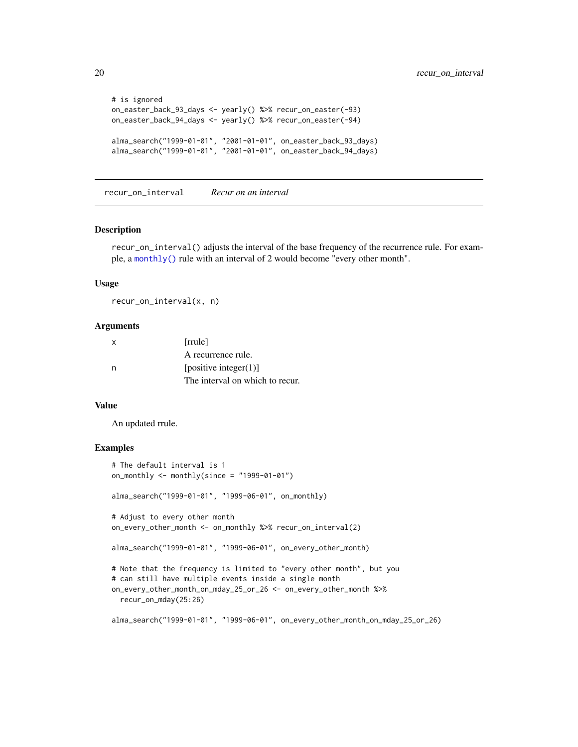```
# is ignored
on_easter_back_93_days <- yearly() %>% recur_on_easter(-93)
on_easter_back_94_days <- yearly() %>% recur_on_easter(-94)
alma_search("1999-01-01", "2001-01-01", on_easter_back_93_days)
alma_search("1999-01-01", "2001-01-01", on_easter_back_94_days)
```
recur\_on\_interval *Recur on an interval*

#### Description

recur\_on\_interval() adjusts the interval of the base frequency of the recurrence rule. For example, a [monthly\(\)](#page-28-1) rule with an interval of 2 would become "every other month".

#### Usage

recur\_on\_interval(x, n)

#### Arguments

| х | [rrule]                         |
|---|---------------------------------|
|   | A recurrence rule.              |
| n | [positive integer(1)]           |
|   | The interval on which to recur. |

#### Value

An updated rrule.

```
# The default interval is 1
on_monthly \le monthly(since = "1999-01-01")
alma_search("1999-01-01", "1999-06-01", on_monthly)
# Adjust to every other month
on_every_other_month <- on_monthly %>% recur_on_interval(2)
alma_search("1999-01-01", "1999-06-01", on_every_other_month)
# Note that the frequency is limited to "every other month", but you
# can still have multiple events inside a single month
on_every_other_month_on_mday_25_or_26 <- on_every_other_month %>%
 recur_on_mday(25:26)
alma_search("1999-01-01", "1999-06-01", on_every_other_month_on_mday_25_or_26)
```
<span id="page-19-0"></span>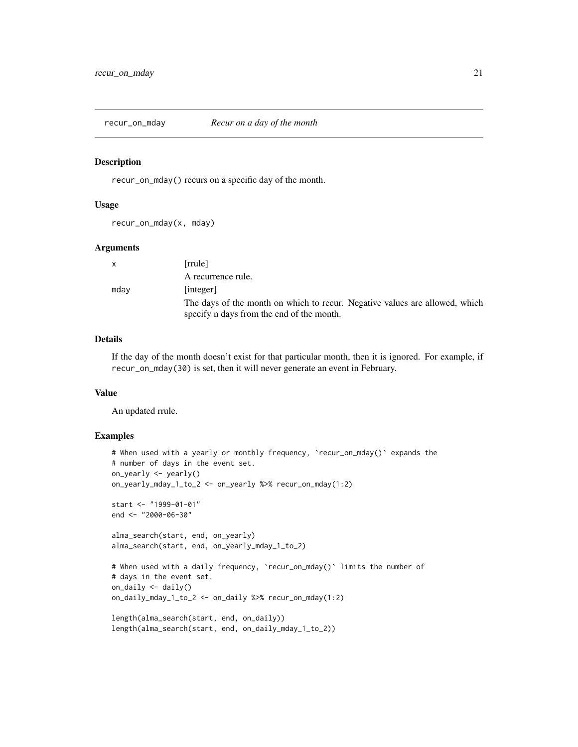<span id="page-20-0"></span>

recur\_on\_mday() recurs on a specific day of the month.

#### Usage

recur\_on\_mday(x, mday)

#### Arguments

| X    | [rrule]                                                                     |
|------|-----------------------------------------------------------------------------|
|      | A recurrence rule.                                                          |
| mday | [integer]                                                                   |
|      | The days of the month on which to recur. Negative values are allowed, which |
|      | specify n days from the end of the month.                                   |

# Details

If the day of the month doesn't exist for that particular month, then it is ignored. For example, if recur\_on\_mday(30) is set, then it will never generate an event in February.

# Value

An updated rrule.

```
# When used with a yearly or monthly frequency, `recur_on_mday()` expands the
# number of days in the event set.
on_yearly <- yearly()
on_yearly_mday_1_to_2 <- on_yearly %>% recur_on_mday(1:2)
start <- "1999-01-01"
end <- "2000-06-30"
alma_search(start, end, on_yearly)
alma_search(start, end, on_yearly_mday_1_to_2)
# When used with a daily frequency, 'recur_on_mday()' limits the number of
# days in the event set.
on_daily <- daily()
on_daily_mday_1_to_2 <- on_daily %>% recur_on_mday(1:2)
length(alma_search(start, end, on_daily))
length(alma_search(start, end, on_daily_mday_1_to_2))
```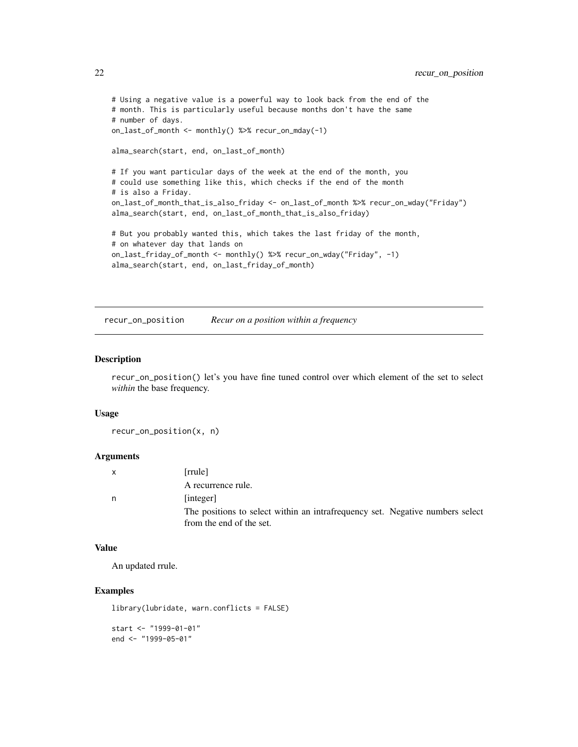```
# Using a negative value is a powerful way to look back from the end of the
# month. This is particularly useful because months don't have the same
# number of days.
on_last_of_month <- monthly() %>% recur_on_mday(-1)
alma_search(start, end, on_last_of_month)
# If you want particular days of the week at the end of the month, you
# could use something like this, which checks if the end of the month
# is also a Friday.
on_last_of_month_that_is_also_friday <- on_last_of_month %>% recur_on_wday("Friday")
alma_search(start, end, on_last_of_month_that_is_also_friday)
# But you probably wanted this, which takes the last friday of the month,
# on whatever day that lands on
on_last_friday_of_month <- monthly() %>% recur_on_wday("Friday", -1)
alma_search(start, end, on_last_friday_of_month)
```
recur\_on\_position *Recur on a position within a frequency*

# Description

recur\_on\_position() let's you have fine tuned control over which element of the set to select *within* the base frequency.

#### Usage

recur\_on\_position(x, n)

# Arguments

|   | [rrule]                                                                                                   |
|---|-----------------------------------------------------------------------------------------------------------|
|   | A recurrence rule.                                                                                        |
| n | [integer]                                                                                                 |
|   | The positions to select within an intrafrequency set. Negative numbers select<br>from the end of the set. |

# Value

An updated rrule.

# Examples

```
library(lubridate, warn.conflicts = FALSE)
```
start <- "1999-01-01" end <- "1999-05-01"

<span id="page-21-0"></span>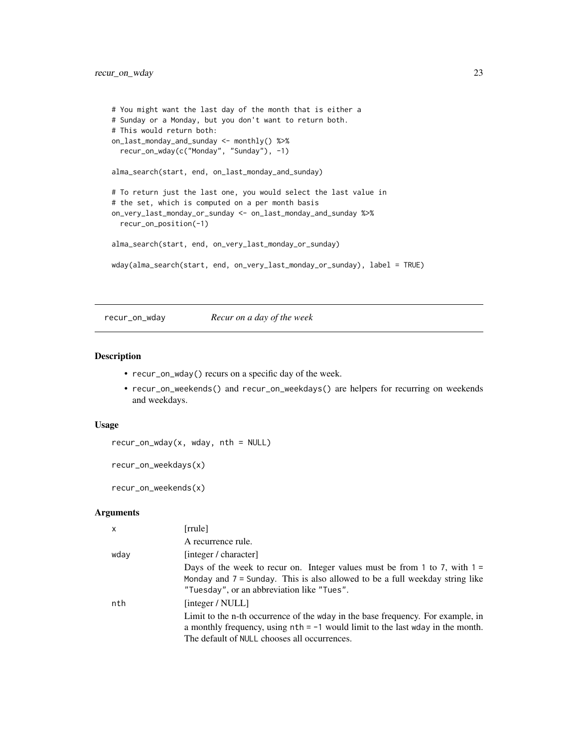```
# You might want the last day of the month that is either a
# Sunday or a Monday, but you don't want to return both.
# This would return both:
on_last_monday_and_sunday <- monthly() %>%
  recur_on_wday(c("Monday", "Sunday"), -1)
alma_search(start, end, on_last_monday_and_sunday)
# To return just the last one, you would select the last value in
# the set, which is computed on a per month basis
on_very_last_monday_or_sunday <- on_last_monday_and_sunday %>%
  recur_on_position(-1)
alma_search(start, end, on_very_last_monday_or_sunday)
wday(alma_search(start, end, on_very_last_monday_or_sunday), label = TRUE)
```
#### recur\_on\_wday *Recur on a day of the week*

#### Description

- recur\_on\_wday() recurs on a specific day of the week.
- recur\_on\_weekends() and recur\_on\_weekdays() are helpers for recurring on weekends and weekdays.

# Usage

```
recur_on_wday(x, wday, nth = NULL)
```
recur\_on\_weekdays(x)

recur\_on\_weekends(x)

#### Arguments

| $\times$ | [rrule]                                                                                                                                                                                                                                 |
|----------|-----------------------------------------------------------------------------------------------------------------------------------------------------------------------------------------------------------------------------------------|
|          | A recurrence rule.                                                                                                                                                                                                                      |
| wday     | [integer / character]                                                                                                                                                                                                                   |
|          | Days of the week to recur on. Integer values must be from 1 to 7, with $1 =$<br>Monday and $7 =$ Sunday. This is also allowed to be a full weekday string like<br>"Tuesday", or an abbreviation like "Tues".                            |
| nth      | [integer / NULL]<br>Limit to the n-th occurrence of the wday in the base frequency. For example, in<br>a monthly frequency, using $nth = -1$ would limit to the last wday in the month.<br>The default of NULL chooses all occurrences. |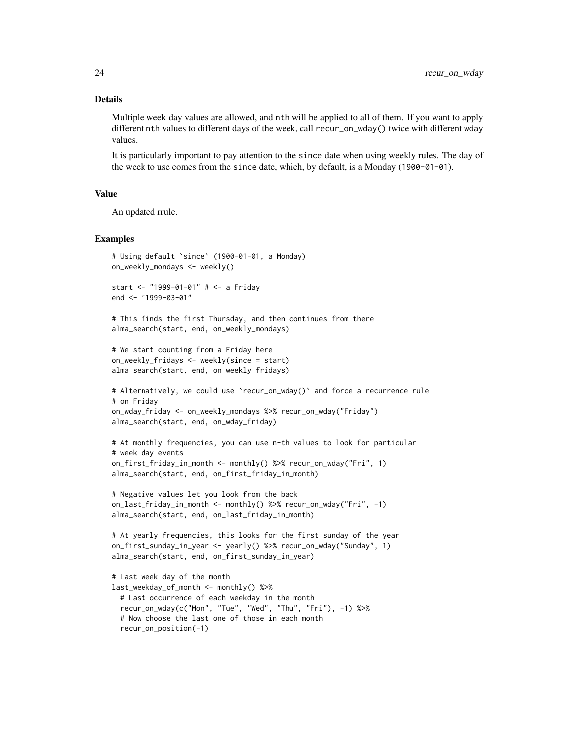#### Details

Multiple week day values are allowed, and nth will be applied to all of them. If you want to apply different nth values to different days of the week, call recur\_on\_wday() twice with different wday values.

It is particularly important to pay attention to the since date when using weekly rules. The day of the week to use comes from the since date, which, by default, is a Monday (1900-01-01).

#### Value

An updated rrule.

```
# Using default `since` (1900-01-01, a Monday)
on_weekly_mondays <- weekly()
start <- "1999-01-01" # <- a Friday
end <- "1999-03-01"
# This finds the first Thursday, and then continues from there
alma_search(start, end, on_weekly_mondays)
# We start counting from a Friday here
on_weekly_fridays <- weekly(since = start)
alma_search(start, end, on_weekly_fridays)
# Alternatively, we could use `recur_on_wday()` and force a recurrence rule
# on Friday
on_wday_friday <- on_weekly_mondays %>% recur_on_wday("Friday")
alma_search(start, end, on_wday_friday)
# At monthly frequencies, you can use n-th values to look for particular
# week day events
on_first_friday_in_month <- monthly() %>% recur_on_wday("Fri", 1)
alma_search(start, end, on_first_friday_in_month)
# Negative values let you look from the back
on_last_friday_in_month <- monthly() %>% recur_on_wday("Fri", -1)
alma_search(start, end, on_last_friday_in_month)
# At yearly frequencies, this looks for the first sunday of the year
on_first_sunday_in_year <- yearly() %>% recur_on_wday("Sunday", 1)
alma_search(start, end, on_first_sunday_in_year)
# Last week day of the month
last_weekday_of_month <- monthly() %>%
 # Last occurrence of each weekday in the month
 recur_on_wday(c("Mon", "Tue", "Wed", "Thu", "Fri"), -1) %>%
 # Now choose the last one of those in each month
 recur_on_position(-1)
```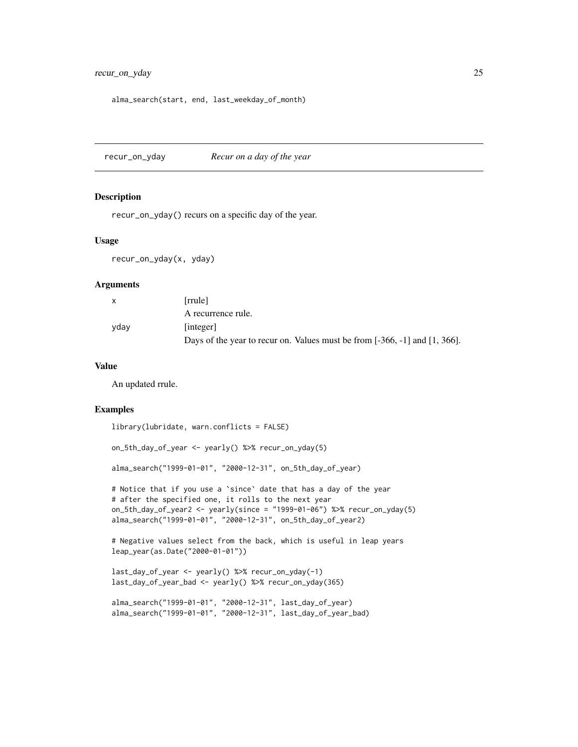```
alma_search(start, end, last_weekday_of_month)
```
recur\_on\_yday *Recur on a day of the year*

#### Description

recur\_on\_yday() recurs on a specific day of the year.

#### Usage

```
recur_on_yday(x, yday)
```
#### **Arguments**

| $\mathbf{x}$ | [rrule]                                                                         |
|--------------|---------------------------------------------------------------------------------|
|              | A recurrence rule.                                                              |
| yday         | [integer]                                                                       |
|              | Days of the year to recur on. Values must be from $[-366, -1]$ and $[1, 366]$ . |

#### Value

An updated rrule.

#### Examples

library(lubridate, warn.conflicts = FALSE)

on\_5th\_day\_of\_year <- yearly() %>% recur\_on\_yday(5)

```
alma_search("1999-01-01", "2000-12-31", on_5th_day_of_year)
```

```
# Notice that if you use a `since` date that has a day of the year
# after the specified one, it rolls to the next year
on_5th_day_of_year2 <- yearly(since = "1999-01-06") %>% recur_on_yday(5)
alma_search("1999-01-01", "2000-12-31", on_5th_day_of_year2)
```

```
# Negative values select from the back, which is useful in leap years
leap_year(as.Date("2000-01-01"))
```

```
last_day_of_year <- yearly() %>% recur_on_yday(-1)
last_day_of_year_bad <- yearly() %>% recur_on_yday(365)
```

```
alma_search("1999-01-01", "2000-12-31", last_day_of_year)
alma_search("1999-01-01", "2000-12-31", last_day_of_year_bad)
```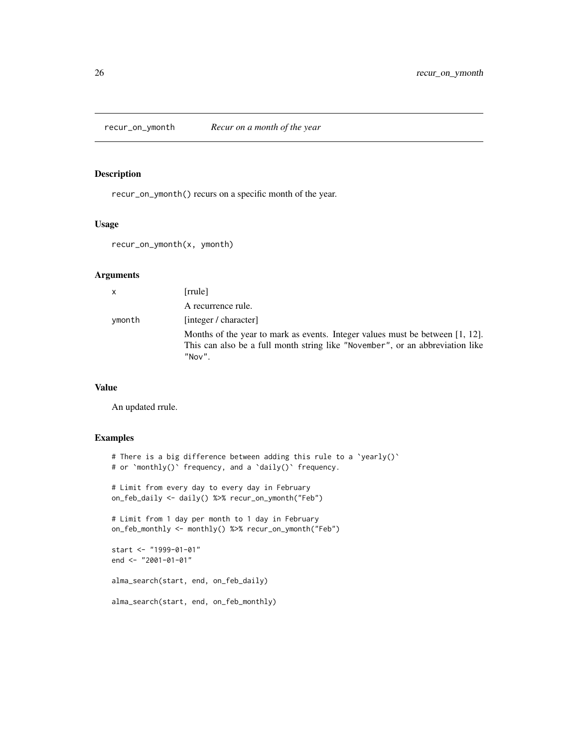<span id="page-25-0"></span>

recur\_on\_ymonth() recurs on a specific month of the year.

# Usage

```
recur_on_ymonth(x, ymonth)
```
# Arguments

| $\mathsf{x}$ | [rrule]                                                                                                                                                                            |
|--------------|------------------------------------------------------------------------------------------------------------------------------------------------------------------------------------|
|              | A recurrence rule.                                                                                                                                                                 |
| ymonth       | [integer / character]                                                                                                                                                              |
|              | Months of the year to mark as events. Integer values must be between $[1, 12]$ .<br>This can also be a full month string like "November", or an abbreviation like<br>$"$ Nov $"$ . |

# Value

An updated rrule.

```
# There is a big difference between adding this rule to a `yearly()`
# or `monthly()` frequency, and a `daily()` frequency.
# Limit from every day to every day in February
on_feb_daily <- daily() %>% recur_on_ymonth("Feb")
# Limit from 1 day per month to 1 day in February
on_feb_monthly <- monthly() %>% recur_on_ymonth("Feb")
start <- "1999-01-01"
end <- "2001-01-01"
alma_search(start, end, on_feb_daily)
alma_search(start, end, on_feb_monthly)
```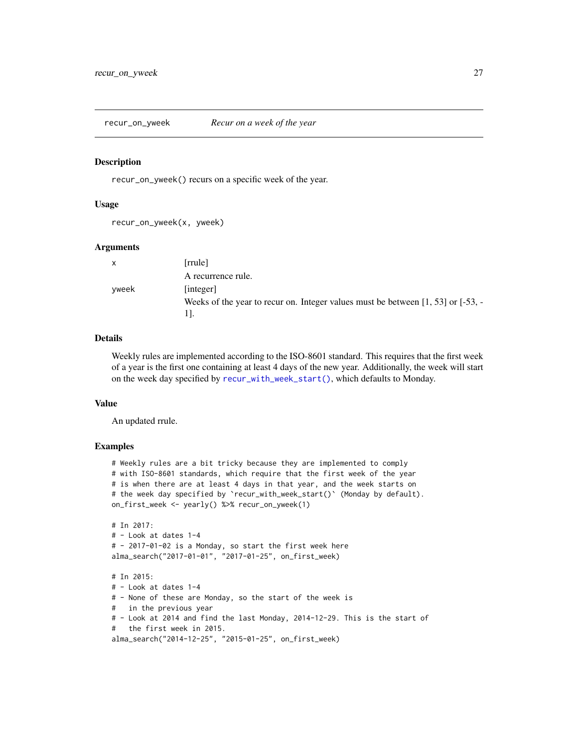<span id="page-26-1"></span><span id="page-26-0"></span>recur\_on\_yweek *Recur on a week of the year*

#### **Description**

recur\_on\_yweek() recurs on a specific week of the year.

#### Usage

recur\_on\_yweek(x, yweek)

#### Arguments

| X     | [rrule]                                                                                |
|-------|----------------------------------------------------------------------------------------|
|       | A recurrence rule.                                                                     |
| yweek | [integer]                                                                              |
|       | Weeks of the year to recur on. Integer values must be between $[1, 53]$ or $[-53, -1]$ |
|       |                                                                                        |

#### Details

Weekly rules are implemented according to the ISO-8601 standard. This requires that the first week of a year is the first one containing at least 4 days of the new year. Additionally, the week will start on the week day specified by [recur\\_with\\_week\\_start\(\)](#page-27-1), which defaults to Monday.

#### Value

An updated rrule.

```
# Weekly rules are a bit tricky because they are implemented to comply
# with ISO-8601 standards, which require that the first week of the year
# is when there are at least 4 days in that year, and the week starts on
# the week day specified by `recur_with_week_start()` (Monday by default).
on_first_week <- yearly() %>% recur_on_yweek(1)
# In 2017:
# - Look at dates 1-4
# - 2017-01-02 is a Monday, so start the first week here
alma_search("2017-01-01", "2017-01-25", on_first_week)
# In 2015:
# - Look at dates 1-4
# - None of these are Monday, so the start of the week is
# in the previous year
# - Look at 2014 and find the last Monday, 2014-12-29. This is the start of
# the first week in 2015.
alma_search("2014-12-25", "2015-01-25", on_first_week)
```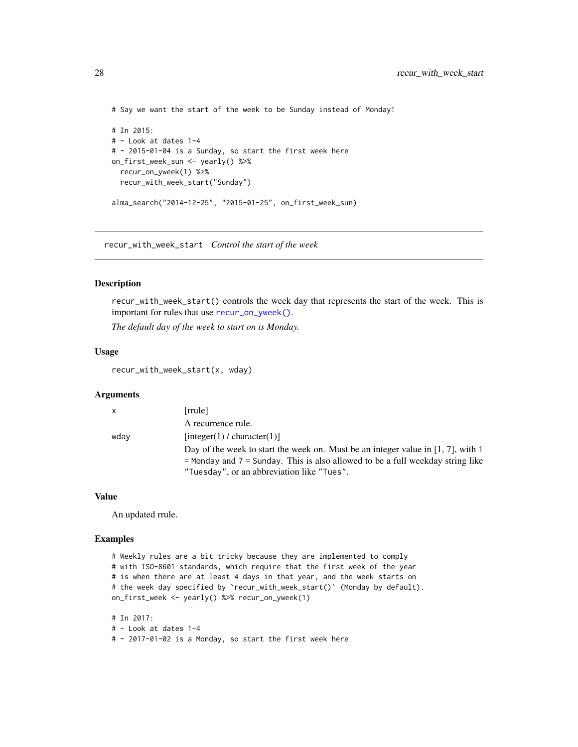```
# Say we want the start of the week to be Sunday instead of Monday!
# In 2015:
# - Look at dates 1-4
# - 2015-01-04 is a Sunday, so start the first week here
on_first_week_sun <- yearly() %>%
  recur_on_yweek(1) %>%
  recur_with_week_start("Sunday")
alma_search("2014-12-25", "2015-01-25", on_first_week_sun)
```
<span id="page-27-1"></span>recur\_with\_week\_start *Control the start of the week*

#### Description

recur\_with\_week\_start() controls the week day that represents the start of the week. This is important for rules that use [recur\\_on\\_yweek\(\)](#page-26-1).

*The default day of the week to start on is Monday.*

# Usage

recur\_with\_week\_start(x, wday)

#### Arguments

| $\mathsf{X}$ | [rrule]                                                                                                                                                                                                              |
|--------------|----------------------------------------------------------------------------------------------------------------------------------------------------------------------------------------------------------------------|
|              | A recurrence rule.                                                                                                                                                                                                   |
| wday         | [integer(1) / character(1)]                                                                                                                                                                                          |
|              | Day of the week to start the week on. Must be an integer value in [1, 7], with 1<br>$=$ Monday and $7 =$ Sunday. This is also allowed to be a full weekday string like<br>"Tuesday", or an abbreviation like "Tues". |

# Value

An updated rrule.

```
# Weekly rules are a bit tricky because they are implemented to comply
# with ISO-8601 standards, which require that the first week of the year
# is when there are at least 4 days in that year, and the week starts on
# the week day specified by `recur_with_week_start()` (Monday by default).
on_first_week <- yearly() %>% recur_on_yweek(1)
```

```
# In 2017:
# - Look at dates 1-4
# - 2017-01-02 is a Monday, so start the first week here
```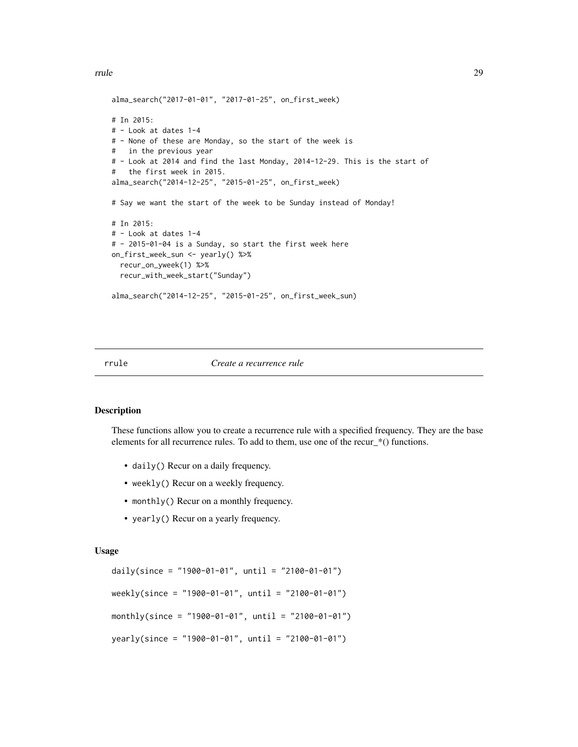<span id="page-28-0"></span>rrule 29

```
alma_search("2017-01-01", "2017-01-25", on_first_week)
# In 2015:
# - Look at dates 1-4
# - None of these are Monday, so the start of the week is
# in the previous year
# - Look at 2014 and find the last Monday, 2014-12-29. This is the start of
# the first week in 2015.
alma_search("2014-12-25", "2015-01-25", on_first_week)
# Say we want the start of the week to be Sunday instead of Monday!
# In 2015:
# - Look at dates 1-4
# - 2015-01-04 is a Sunday, so start the first week here
on_first_week_sun <- yearly() %>%
  recur_on_yweek(1) %>%
  recur_with_week_start("Sunday")
alma_search("2014-12-25", "2015-01-25", on_first_week_sun)
```
#### rrule *Create a recurrence rule*

#### <span id="page-28-1"></span>Description

These functions allow you to create a recurrence rule with a specified frequency. They are the base elements for all recurrence rules. To add to them, use one of the recur\_\*() functions.

- daily() Recur on a daily frequency.
- weekly() Recur on a weekly frequency.
- monthly() Recur on a monthly frequency.
- yearly() Recur on a yearly frequency.

#### Usage

```
daily(since = "1900-01-01", until = "2100-01-01")
weekly(since = "1900-01-01", until = "2100-01-01")
monthly(since = "1900-01-01", until = "2100-01-01")
yearly(since = "1900-01-01", until = "2100-01-01")
```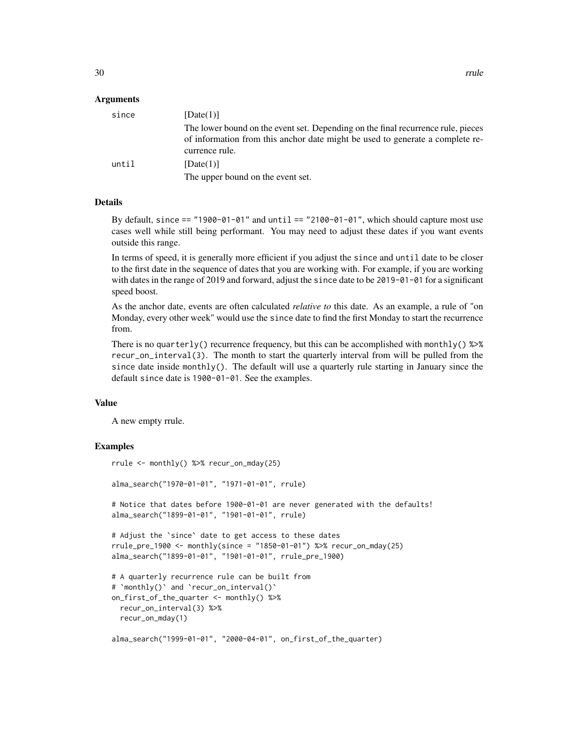#### Arguments

| since | [Date $(1)$ ]                                                                                                                                                                       |
|-------|-------------------------------------------------------------------------------------------------------------------------------------------------------------------------------------|
|       | The lower bound on the event set. Depending on the final recurrence rule, pieces<br>of information from this anchor date might be used to generate a complete re-<br>currence rule. |
| until | [Date $(1)$ ]                                                                                                                                                                       |
|       | The upper bound on the event set.                                                                                                                                                   |

# Details

By default, since == "1900-01-01" and until == "2100-01-01", which should capture most use cases well while still being performant. You may need to adjust these dates if you want events outside this range.

In terms of speed, it is generally more efficient if you adjust the since and until date to be closer to the first date in the sequence of dates that you are working with. For example, if you are working with dates in the range of 2019 and forward, adjust the since date to be 2019-01-01 for a significant speed boost.

As the anchor date, events are often calculated *relative to* this date. As an example, a rule of "on Monday, every other week" would use the since date to find the first Monday to start the recurrence from.

There is no quarterly() recurrence frequency, but this can be accomplished with monthly()  $\gg\$ recur\_on\_interval(3). The month to start the quarterly interval from will be pulled from the since date inside monthly(). The default will use a quarterly rule starting in January since the default since date is 1900-01-01. See the examples.

#### Value

A new empty rrule.

```
rrule <- monthly() %>% recur_on_mday(25)
alma_search("1970-01-01", "1971-01-01", rrule)
# Notice that dates before 1900-01-01 are never generated with the defaults!
alma_search("1899-01-01", "1901-01-01", rrule)
# Adjust the `since` date to get access to these dates
rule\_pre\_1900 < - monthly(since = "1850-01-01") %>% recur\_on\_mday(25)alma_search("1899-01-01", "1901-01-01", rrule_pre_1900)
# A quarterly recurrence rule can be built from
# `monthly()` and `recur_on_interval()`
on_first_of_the_quarter <- monthly() %>%
 recur_on_interval(3) %>%
 recur_on_mday(1)
alma_search("1999-01-01", "2000-04-01", on_first_of_the_quarter)
```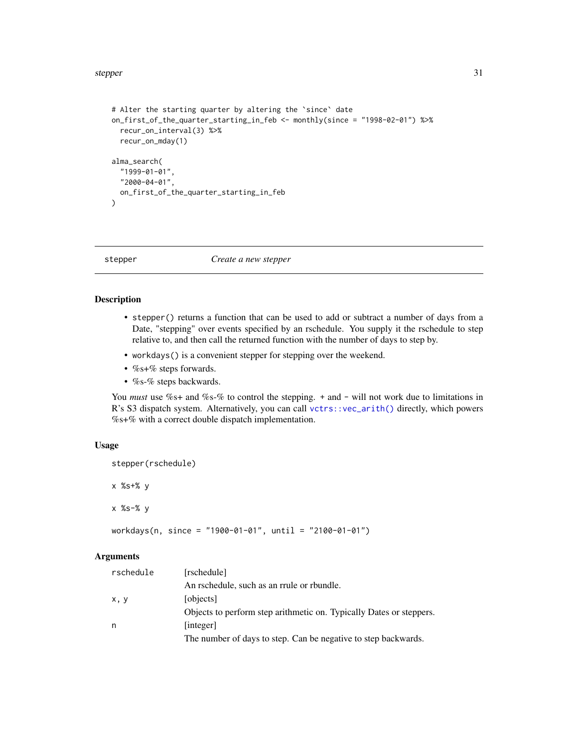#### <span id="page-30-0"></span>stepper 31

```
# Alter the starting quarter by altering the `since` date
on_first_of_the_quarter_starting_in_feb <- monthly(since = "1998-02-01") %>%
  recur_on_interval(3) %>%
  recur_on_mday(1)
alma_search(
  "1999-01-01",
  "2000-04-01",
  on_first_of_the_quarter_starting_in_feb
\mathcal{L}
```
stepper *Create a new stepper*

# Description

- stepper() returns a function that can be used to add or subtract a number of days from a Date, "stepping" over events specified by an rschedule. You supply it the rschedule to step relative to, and then call the returned function with the number of days to step by.
- workdays() is a convenient stepper for stepping over the weekend.
- %s+% steps forwards.
- %s-% steps backwards.

You *must* use %s+ and %s-% to control the stepping. + and - will not work due to limitations in R's S3 dispatch system. Alternatively, you can call [vctrs::vec\\_arith\(\)](#page-0-0) directly, which powers %s+% with a correct double dispatch implementation.

# Usage

```
stepper(rschedule)
```
x %s+% y

x %s-% y

workdays(n, since = "1900-01-01", until = "2100-01-01")

# Arguments

| rschedule | [rschedule]                                                         |
|-----------|---------------------------------------------------------------------|
|           | An rschedule, such as an rrule or rbundle.                          |
| x, y      | [objects]                                                           |
|           | Objects to perform step arithmetic on. Typically Dates or steppers. |
| n         | [integer]                                                           |
|           | The number of days to step. Can be negative to step backwards.      |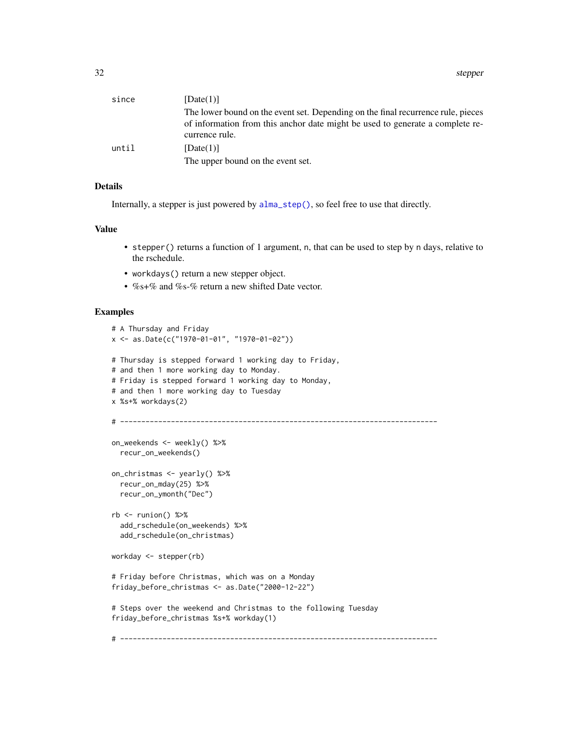<span id="page-31-0"></span>

| since | [Date(1)]                                                                                       |
|-------|-------------------------------------------------------------------------------------------------|
|       | The lower bound on the event set. Depending on the final recurrence rule, pieces                |
|       | of information from this anchor date might be used to generate a complete re-<br>currence rule. |
| until | [Date(1)]                                                                                       |
|       | The upper bound on the event set.                                                               |

# Details

Internally, a stepper is just powered by [alma\\_step\(\)](#page-7-1), so feel free to use that directly.

#### Value

- stepper() returns a function of 1 argument, n, that can be used to step by n days, relative to the rschedule.
- workdays() return a new stepper object.
- %s+% and %s-% return a new shifted Date vector.

```
# A Thursday and Friday
x <- as.Date(c("1970-01-01", "1970-01-02"))
# Thursday is stepped forward 1 working day to Friday,
# and then 1 more working day to Monday.
# Friday is stepped forward 1 working day to Monday,
# and then 1 more working day to Tuesday
x %s+% workdays(2)
# ---------------------------------------------------------------------------
on_weekends <- weekly() %>%
  recur_on_weekends()
on_christmas <- yearly() %>%
  recur_on_mday(25) %>%
  recur_on_ymonth("Dec")
rb \leq runion() %>%
  add_rschedule(on_weekends) %>%
  add_rschedule(on_christmas)
workday <- stepper(rb)
# Friday before Christmas, which was on a Monday
friday_before_christmas <- as.Date("2000-12-22")
# Steps over the weekend and Christmas to the following Tuesday
friday_before_christmas %s+% workday(1)
# ---------------------------------------------------------------------------
```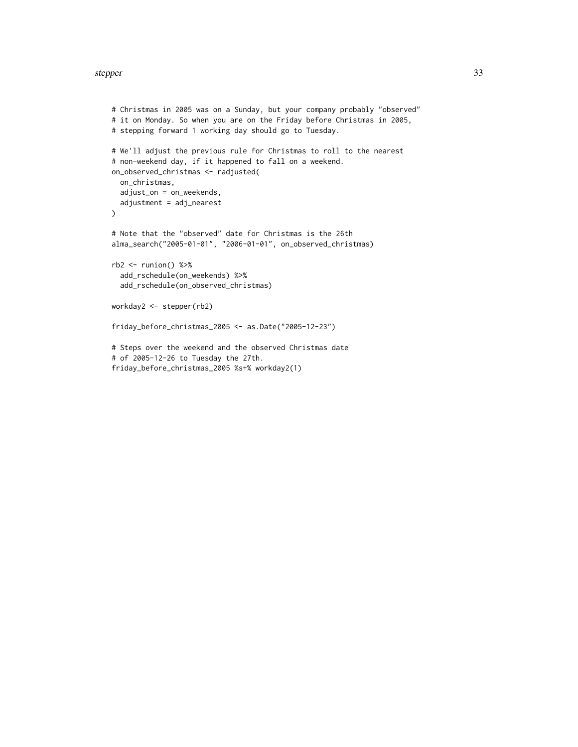#### stepper 33

```
# Christmas in 2005 was on a Sunday, but your company probably "observed"
# it on Monday. So when you are on the Friday before Christmas in 2005,
# stepping forward 1 working day should go to Tuesday.
# We'll adjust the previous rule for Christmas to roll to the nearest
# non-weekend day, if it happened to fall on a weekend.
on_observed_christmas <- radjusted(
  on_christmas,
  adjust_on = on_weekends,
  adjustment = adj_nearest
\mathcal{L}# Note that the "observed" date for Christmas is the 26th
alma_search("2005-01-01", "2006-01-01", on_observed_christmas)
rb2 <- runion() %>%
  add_rschedule(on_weekends) %>%
  add_rschedule(on_observed_christmas)
workday2 <- stepper(rb2)
friday_before_christmas_2005 <- as.Date("2005-12-23")
# Steps over the weekend and the observed Christmas date
# of 2005-12-26 to Tuesday the 27th.
friday_before_christmas_2005 %s+% workday2(1)
```